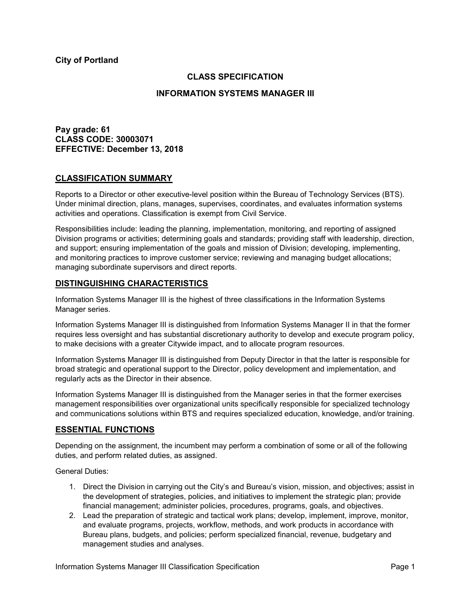**City of Portland**

# **CLASS SPECIFICATION**

#### **INFORMATION SYSTEMS MANAGER III**

**Pay grade: 61 CLASS CODE: 30003071 EFFECTIVE: December 13, 2018**

#### **CLASSIFICATION SUMMARY**

Reports to a Director or other executive-level position within the Bureau of Technology Services (BTS). Under minimal direction, plans, manages, supervises, coordinates, and evaluates information systems activities and operations. Classification is exempt from Civil Service.

Responsibilities include: leading the planning, implementation, monitoring, and reporting of assigned Division programs or activities; determining goals and standards; providing staff with leadership, direction, and support; ensuring implementation of the goals and mission of Division; developing, implementing, and monitoring practices to improve customer service; reviewing and managing budget allocations; managing subordinate supervisors and direct reports.

## **DISTINGUISHING CHARACTERISTICS**

Information Systems Manager III is the highest of three classifications in the Information Systems Manager series.

Information Systems Manager III is distinguished from Information Systems Manager II in that the former requires less oversight and has substantial discretionary authority to develop and execute program policy, to make decisions with a greater Citywide impact, and to allocate program resources.

Information Systems Manager III is distinguished from Deputy Director in that the latter is responsible for broad strategic and operational support to the Director, policy development and implementation, and regularly acts as the Director in their absence.

Information Systems Manager III is distinguished from the Manager series in that the former exercises management responsibilities over organizational units specifically responsible for specialized technology and communications solutions within BTS and requires specialized education, knowledge, and/or training.

## **ESSENTIAL FUNCTIONS**

Depending on the assignment, the incumbent may perform a combination of some or all of the following duties, and perform related duties, as assigned.

General Duties:

- 1. Direct the Division in carrying out the City's and Bureau's vision, mission, and objectives; assist in the development of strategies, policies, and initiatives to implement the strategic plan; provide financial management; administer policies, procedures, programs, goals, and objectives.
- 2. Lead the preparation of strategic and tactical work plans; develop, implement, improve, monitor, and evaluate programs, projects, workflow, methods, and work products in accordance with Bureau plans, budgets, and policies; perform specialized financial, revenue, budgetary and management studies and analyses.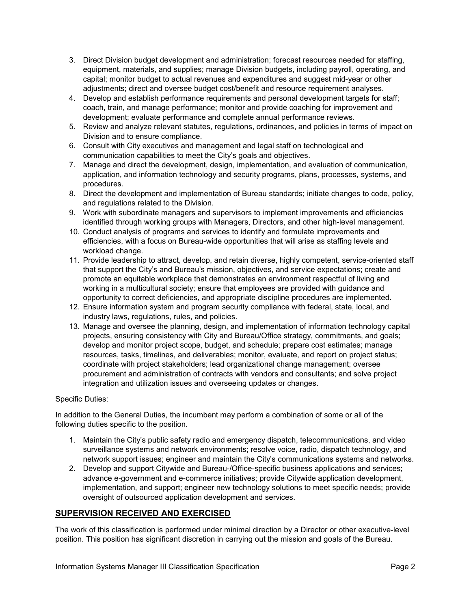- 3. Direct Division budget development and administration; forecast resources needed for staffing, equipment, materials, and supplies; manage Division budgets, including payroll, operating, and capital; monitor budget to actual revenues and expenditures and suggest mid-year or other adjustments; direct and oversee budget cost/benefit and resource requirement analyses.
- 4. Develop and establish performance requirements and personal development targets for staff; coach, train, and manage performance; monitor and provide coaching for improvement and development; evaluate performance and complete annual performance reviews.
- 5. Review and analyze relevant statutes, regulations, ordinances, and policies in terms of impact on Division and to ensure compliance.
- 6. Consult with City executives and management and legal staff on technological and communication capabilities to meet the City's goals and objectives.
- 7. Manage and direct the development, design, implementation, and evaluation of communication, application, and information technology and security programs, plans, processes, systems, and procedures.
- 8. Direct the development and implementation of Bureau standards; initiate changes to code, policy, and regulations related to the Division.
- 9. Work with subordinate managers and supervisors to implement improvements and efficiencies identified through working groups with Managers, Directors, and other high-level management.
- 10. Conduct analysis of programs and services to identify and formulate improvements and efficiencies, with a focus on Bureau-wide opportunities that will arise as staffing levels and workload change.
- 11. Provide leadership to attract, develop, and retain diverse, highly competent, service-oriented staff that support the City's and Bureau's mission, objectives, and service expectations; create and promote an equitable workplace that demonstrates an environment respectful of living and working in a multicultural society; ensure that employees are provided with guidance and opportunity to correct deficiencies, and appropriate discipline procedures are implemented.
- 12. Ensure information system and program security compliance with federal, state, local, and industry laws, regulations, rules, and policies.
- 13. Manage and oversee the planning, design, and implementation of information technology capital projects, ensuring consistency with City and Bureau/Office strategy, commitments, and goals; develop and monitor project scope, budget, and schedule; prepare cost estimates; manage resources, tasks, timelines, and deliverables; monitor, evaluate, and report on project status; coordinate with project stakeholders; lead organizational change management; oversee procurement and administration of contracts with vendors and consultants; and solve project integration and utilization issues and overseeing updates or changes.

## Specific Duties:

In addition to the General Duties, the incumbent may perform a combination of some or all of the following duties specific to the position.

- 1. Maintain the City's public safety radio and emergency dispatch, telecommunications, and video surveillance systems and network environments; resolve voice, radio, dispatch technology, and network support issues; engineer and maintain the City's communications systems and networks.
- 2. Develop and support Citywide and Bureau-/Office-specific business applications and services; advance e-government and e-commerce initiatives; provide Citywide application development, implementation, and support; engineer new technology solutions to meet specific needs; provide oversight of outsourced application development and services.

## **SUPERVISION RECEIVED AND EXERCISED**

The work of this classification is performed under minimal direction by a Director or other executive-level position. This position has significant discretion in carrying out the mission and goals of the Bureau.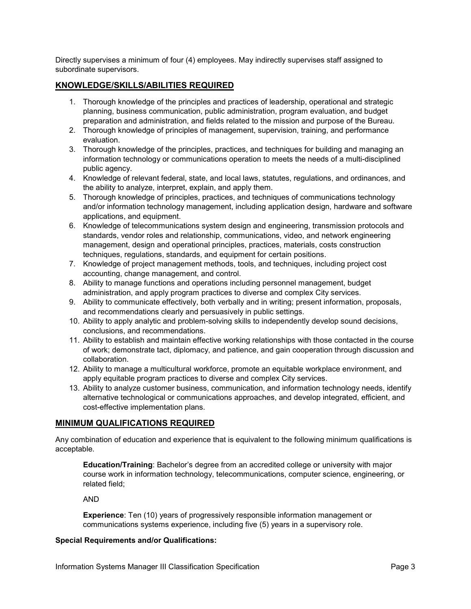Directly supervises a minimum of four (4) employees. May indirectly supervises staff assigned to subordinate supervisors.

# **KNOWLEDGE/SKILLS/ABILITIES REQUIRED**

- 1. Thorough knowledge of the principles and practices of leadership, operational and strategic planning, business communication, public administration, program evaluation, and budget preparation and administration, and fields related to the mission and purpose of the Bureau.
- 2. Thorough knowledge of principles of management, supervision, training, and performance evaluation.
- 3. Thorough knowledge of the principles, practices, and techniques for building and managing an information technology or communications operation to meets the needs of a multi-disciplined public agency.
- 4. Knowledge of relevant federal, state, and local laws, statutes, regulations, and ordinances, and the ability to analyze, interpret, explain, and apply them.
- 5. Thorough knowledge of principles, practices, and techniques of communications technology and/or information technology management, including application design, hardware and software applications, and equipment.
- 6. Knowledge of telecommunications system design and engineering, transmission protocols and standards, vendor roles and relationship, communications, video, and network engineering management, design and operational principles, practices, materials, costs construction techniques, regulations, standards, and equipment for certain positions.
- 7. Knowledge of project management methods, tools, and techniques, including project cost accounting, change management, and control.
- 8. Ability to manage functions and operations including personnel management, budget administration, and apply program practices to diverse and complex City services.
- 9. Ability to communicate effectively, both verbally and in writing; present information, proposals, and recommendations clearly and persuasively in public settings.
- 10. Ability to apply analytic and problem-solving skills to independently develop sound decisions, conclusions, and recommendations.
- 11. Ability to establish and maintain effective working relationships with those contacted in the course of work; demonstrate tact, diplomacy, and patience, and gain cooperation through discussion and collaboration.
- 12. Ability to manage a multicultural workforce, promote an equitable workplace environment, and apply equitable program practices to diverse and complex City services.
- 13. Ability to analyze customer business, communication, and information technology needs, identify alternative technological or communications approaches, and develop integrated, efficient, and cost-effective implementation plans.

## **MINIMUM QUALIFICATIONS REQUIRED**

Any combination of education and experience that is equivalent to the following minimum qualifications is acceptable.

**Education/Training**: Bachelor's degree from an accredited college or university with major course work in information technology, telecommunications, computer science, engineering, or related field;

AND

**Experience**: Ten (10) years of progressively responsible information management or communications systems experience, including five (5) years in a supervisory role.

#### **Special Requirements and/or Qualifications:**